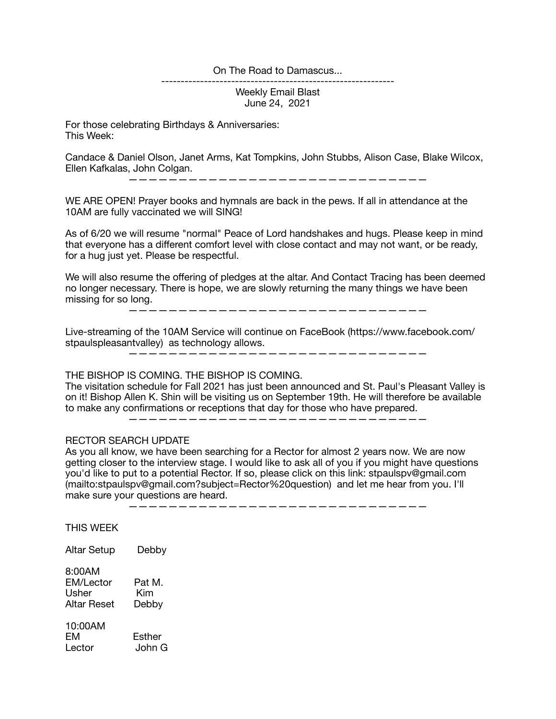## On The Road to Damascus...

------------------------------------------------------------

Weekly Email Blast June 24, 2021

For those celebrating Birthdays & Anniversaries: This Week:

Candace & Daniel Olson, Janet Arms, Kat Tompkins, John Stubbs, Alison Case, Blake Wilcox, Ellen Kafkalas, John Colgan.

——————————————————————————————

WE ARE OPEN! Prayer books and hymnals are back in the pews. If all in attendance at the 10AM are fully vaccinated we will SING!

As of 6/20 we will resume "normal" Peace of Lord handshakes and hugs. Please keep in mind that everyone has a different comfort level with close contact and may not want, or be ready, for a hug just yet. Please be respectful.

We will also resume the offering of pledges at the altar. And Contact Tracing has been deemed no longer necessary. There is hope, we are slowly returning the many things we have been missing for so long.

——————————————————————————————

Live-streaming of the 10AM Service will continue on FaceBook (https://www.facebook.com/ stpaulspleasantvalley) as technology allows.

——————————————————————————————

THE BISHOP IS COMING. THE BISHOP IS COMING.

The visitation schedule for Fall 2021 has just been announced and St. Paul's Pleasant Valley is on it! Bishop Allen K. Shin will be visiting us on September 19th. He will therefore be available to make any confirmations or receptions that day for those who have prepared.

——————————————————————————————

## RECTOR SEARCH UPDATE

As you all know, we have been searching for a Rector for almost 2 years now. We are now getting closer to the interview stage. I would like to ask all of you if you might have questions you'd like to put to a potential Rector. If so, please click on this link: stpaulspv@gmail.com (mailto:stpaulspv@gmail.com?subject=Rector%20question) and let me hear from you. I'll make sure your questions are heard.

——————————————————————————————

THIS WEEK

Altar Setup Debby

| 8:00AM      |        |
|-------------|--------|
| EM/Lector   | Pat M. |
| Usher       | Kim    |
| Altar Reset | Debby  |

10:00AM EM Esther Lector John G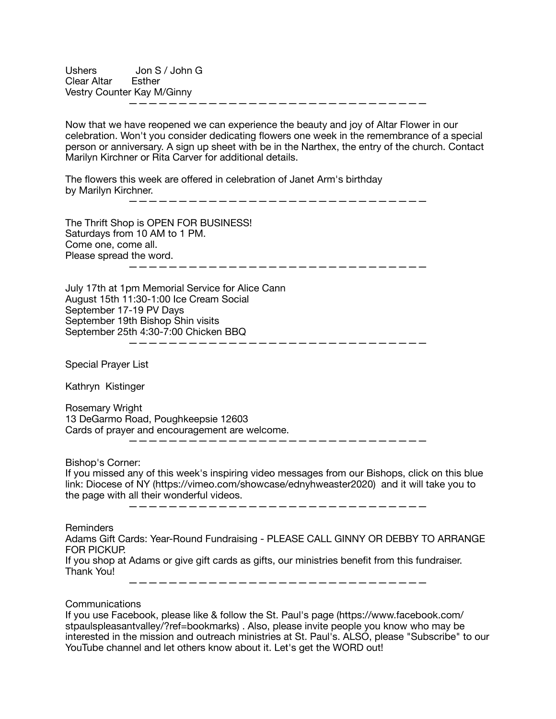Ushers Jon S / John G Clear Altar Esther Vestry Counter Kay M/Ginny ——————————————————————————————

Now that we have reopened we can experience the beauty and joy of Altar Flower in our celebration. Won't you consider dedicating flowers one week in the remembrance of a special person or anniversary. A sign up sheet with be in the Narthex, the entry of the church. Contact Marilyn Kirchner or Rita Carver for additional details.

The flowers this week are offered in celebration of Janet Arm's birthday by Marilyn Kirchner. ——————————————————————————————

The Thrift Shop is OPEN FOR BUSINESS! Saturdays from 10 AM to 1 PM. Come one, come all. Please spread the word. ——————————————————————————————

July 17th at 1pm Memorial Service for Alice Cann August 15th 11:30-1:00 Ice Cream Social September 17-19 PV Days September 19th Bishop Shin visits September 25th 4:30-7:00 Chicken BBQ

Special Prayer List

Kathryn Kistinger

Rosemary Wright 13 DeGarmo Road, Poughkeepsie 12603 Cards of prayer and encouragement are welcome. ——————————————————————————————

Bishop's Corner: If you missed any of this week's inspiring video messages from our Bishops, click on this blue link: Diocese of NY (https://vimeo.com/showcase/ednyhweaster2020) and it will take you to the page with all their wonderful videos.

——————————————————————————————

——————————————————————————————

Reminders

Adams Gift Cards: Year-Round Fundraising - PLEASE CALL GINNY OR DEBBY TO ARRANGE FOR PICKUP.

If you shop at Adams or give gift cards as gifts, our ministries benefit from this fundraiser. Thank You!

——————————————————————————————

Communications

If you use Facebook, please like & follow the St. Paul's page (https://www.facebook.com/ stpaulspleasantvalley/?ref=bookmarks) . Also, please invite people you know who may be interested in the mission and outreach ministries at St. Paul's. ALSO, please "Subscribe" to our YouTube channel and let others know about it. Let's get the WORD out!